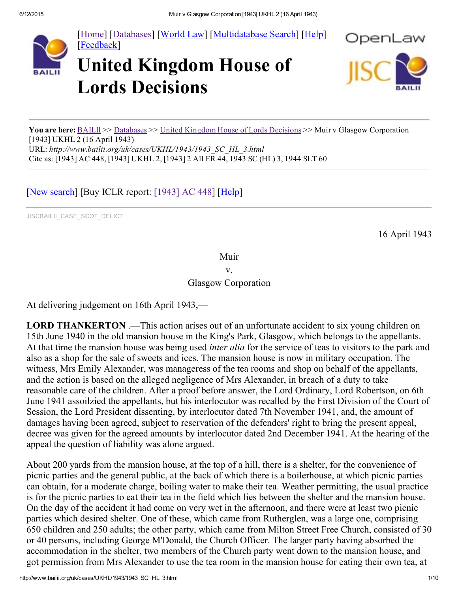[\[Home\]](http://www.bailii.org/) [[Databases\]](http://www.bailii.org/databases.html) [\[World](http://www.austlii.edu.au/links/World/) Law] [\[Multidatabase](http://www.bailii.org/form/search_multidatabase.html) Search] [\[Help\]](http://www.bailii.org/bailii/help/)



[\[Feedback\]](http://www.bailii.org/bailii/feedback.html)

United Kingdom House of Lords Decisions



You are here: [BAILII](http://www.bailii.org/) >> [Databases](http://www.bailii.org/databases.html) >> United Kingdom House of Lords [Decisions](http://www.bailii.org/uk/cases/UKHL/) >> Muir y Glasgow Corporation [1943] UKHL 2 (16 April 1943) URL: http://www.bailii.org/uk/cases/UKHL/1943/1943\_SC\_HL\_3.html Cite as: [1943] AC 448, [1943] UKHL 2, [1943] 2 All ER 44, 1943 SC (HL) 3, 1944 SLT 60

[New [search\]](http://www.bailii.org/form/search_cases.html) [Buy ICLR report: [\[1943\]](https://shop.iclr.co.uk/Subscr/welcome.aspx?docId=XAC1943-1-448) AC 448] [\[Help\]](http://www.bailii.org/bailii/help/)

JISCBAILII CASE\_SCOT\_DELICT

16 April 1943

Muir

v.

Glasgow Corporation

At delivering judgement on 16th April 1943,—

LORD THANKERTON .—This action arises out of an unfortunate accident to six young children on 15th June 1940 in the old mansion house in the King's Park, Glasgow, which belongs to the appellants. At that time the mansion house was being used *inter alia* for the service of teas to visitors to the park and also as a shop for the sale of sweets and ices. The mansion house is now in military occupation. The witness, Mrs Emily Alexander, was manageress of the tea rooms and shop on behalf of the appellants, and the action is based on the alleged negligence of Mrs Alexander, in breach of a duty to take reasonable care of the children. After a proof before answer, the Lord Ordinary, Lord Robertson, on 6th June 1941 assoilzied the appellants, but his interlocutor was recalled by the First Division of the Court of Session, the Lord President dissenting, by interlocutor dated 7th November 1941, and, the amount of damages having been agreed, subject to reservation of the defenders' right to bring the present appeal, decree was given for the agreed amounts by interlocutor dated 2nd December 1941. At the hearing of the appeal the question of liability was alone argued.

About 200 yards from the mansion house, at the top of a hill, there is a shelter, for the convenience of picnic parties and the general public, at the back of which there is a boilerhouse, at which picnic parties can obtain, for a moderate charge, boiling water to make their tea. Weather permitting, the usual practice is for the picnic parties to eat their tea in the field which lies between the shelter and the mansion house. On the day of the accident it had come on very wet in the afternoon, and there were at least two picnic parties which desired shelter. One of these, which came from Rutherglen, was a large one, comprising 650 children and 250 adults; the other party, which came from Milton Street Free Church, consisted of 30 or 40 persons, including George M'Donald, the Church Officer. The larger party having absorbed the accommodation in the shelter, two members of the Church party went down to the mansion house, and got permission from Mrs Alexander to use the tea room in the mansion house for eating their own tea, at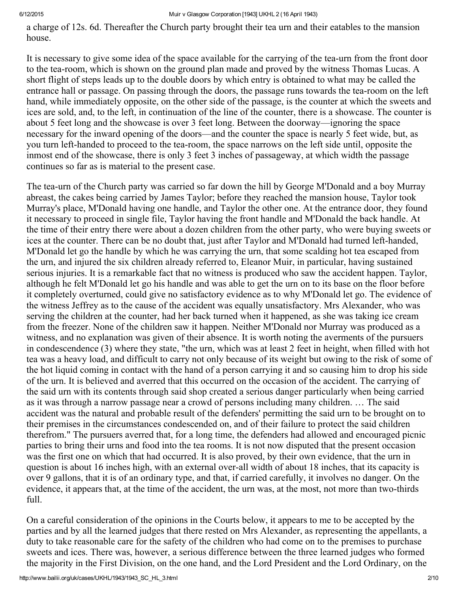## 6/12/2015 Muir v Glasgow Corporation [1943] UKHL 2 (16 April 1943)

a charge of 12s. 6d. Thereafter the Church party brought their tea urn and their eatables to the mansion house.

It is necessary to give some idea of the space available for the carrying of the tea-urn from the front door to the tea-room, which is shown on the ground plan made and proved by the witness Thomas Lucas. A short flight of steps leads up to the double doors by which entry is obtained to what may be called the entrance hall or passage. On passing through the doors, the passage runs towards the tea-room on the left hand, while immediately opposite, on the other side of the passage, is the counter at which the sweets and ices are sold, and, to the left, in continuation of the line of the counter, there is a showcase. The counter is about 5 feet long and the showcase is over 3 feet long. Between the doorway—ignoring the space necessary for the inward opening of the doors—and the counter the space is nearly 5 feet wide, but, as you turn left-handed to proceed to the tea-room, the space narrows on the left side until, opposite the inmost end of the showcase, there is only 3 feet 3 inches of passageway, at which width the passage continues so far as is material to the present case.

The tea-urn of the Church party was carried so far down the hill by George M'Donald and a boy Murray abreast, the cakes being carried by James Taylor; before they reached the mansion house, Taylor took Murray's place, M'Donald having one handle, and Taylor the other one. At the entrance door, they found it necessary to proceed in single file, Taylor having the front handle and M'Donald the back handle. At the time of their entry there were about a dozen children from the other party, who were buying sweets or ices at the counter. There can be no doubt that, just after Taylor and M'Donald had turned left-handed, M'Donald let go the handle by which he was carrying the urn, that some scalding hot tea escaped from the urn, and injured the six children already referred to, Eleanor Muir, in particular, having sustained serious injuries. It is a remarkable fact that no witness is produced who saw the accident happen. Taylor, although he felt M'Donald let go his handle and was able to get the urn on to its base on the floor before it completely overturned, could give no satisfactory evidence as to why M'Donald let go. The evidence of the witness Jeffrey as to the cause of the accident was equally unsatisfactory. Mrs Alexander, who was serving the children at the counter, had her back turned when it happened, as she was taking ice cream from the freezer. None of the children saw it happen. Neither M'Donald nor Murray was produced as a witness, and no explanation was given of their absence. It is worth noting the averments of the pursuers in condescendence (3) where they state, "the urn, which was at least 2 feet in height, when filled with hot tea was a heavy load, and difficult to carry not only because of its weight but owing to the risk of some of the hot liquid coming in contact with the hand of a person carrying it and so causing him to drop his side of the urn. It is believed and averred that this occurred on the occasion of the accident. The carrying of the said urn with its contents through said shop created a serious danger particularly when being carried as it was through a narrow passage near a crowd of persons including many children. … The said accident was the natural and probable result of the defenders' permitting the said urn to be brought on to their premises in the circumstances condescended on, and of their failure to protect the said children therefrom." The pursuers averred that, for a long time, the defenders had allowed and encouraged picnic parties to bring their urns and food into the tea rooms. It is not now disputed that the present occasion was the first one on which that had occurred. It is also proved, by their own evidence, that the urn in question is about 16 inches high, with an external over-all width of about 18 inches, that its capacity is over 9 gallons, that it is of an ordinary type, and that, if carried carefully, it involves no danger. On the evidence, it appears that, at the time of the accident, the urn was, at the most, not more than two-thirds full.

On a careful consideration of the opinions in the Courts below, it appears to me to be accepted by the parties and by all the learned judges that there rested on Mrs Alexander, as representing the appellants, a duty to take reasonable care for the safety of the children who had come on to the premises to purchase sweets and ices. There was, however, a serious difference between the three learned judges who formed the majority in the First Division, on the one hand, and the Lord President and the Lord Ordinary, on the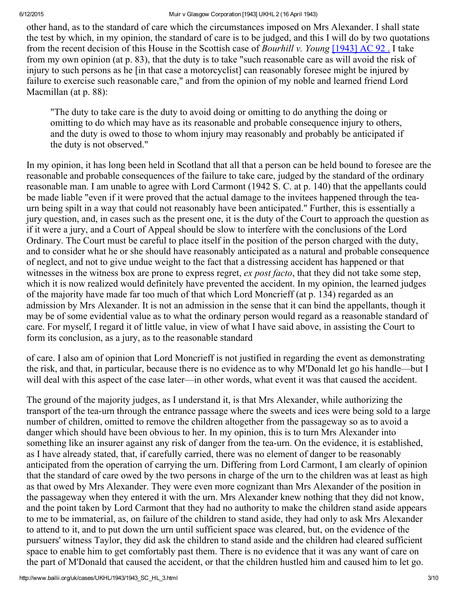other hand, as to the standard of care which the circumstances imposed on Mrs Alexander. I shall state the test by which, in my opinion, the standard of care is to be judged, and this I will do by two quotations from the recent decision of this House in the Scottish case of Bourhill v. Young [\[1943\]](http://www.bailii.org/cgi-bin/redirect.cgi?path=/uk/cases/UKHL/1942/5.html) AC 92 . I take from my own opinion (at p. 83), that the duty is to take "such reasonable care as will avoid the risk of injury to such persons as he [in that case a motorcyclist] can reasonably foresee might be injured by failure to exercise such reasonable care," and from the opinion of my noble and learned friend Lord Macmillan (at p. 88):

"The duty to take care is the duty to avoid doing or omitting to do anything the doing or omitting to do which may have as its reasonable and probable consequence injury to others, and the duty is owed to those to whom injury may reasonably and probably be anticipated if the duty is not observed."

In my opinion, it has long been held in Scotland that all that a person can be held bound to foresee are the reasonable and probable consequences of the failure to take care, judged by the standard of the ordinary reasonable man. I am unable to agree with Lord Carmont (1942 S. C. at p. 140) that the appellants could be made liable "even if it were proved that the actual damage to the invitees happened through the teaurn being spilt in a way that could not reasonably have been anticipated." Further, this is essentially a jury question, and, in cases such as the present one, it is the duty of the Court to approach the question as if it were a jury, and a Court of Appeal should be slow to interfere with the conclusions of the Lord Ordinary. The Court must be careful to place itself in the position of the person charged with the duty, and to consider what he or she should have reasonably anticipated as a natural and probable consequence of neglect, and not to give undue weight to the fact that a distressing accident has happened or that witnesses in the witness box are prone to express regret, ex post facto, that they did not take some step, which it is now realized would definitely have prevented the accident. In my opinion, the learned judges of the majority have made far too much of that which Lord Moncrieff (at p. 134) regarded as an admission by Mrs Alexander. It is not an admission in the sense that it can bind the appellants, though it may be of some evidential value as to what the ordinary person would regard as a reasonable standard of care. For myself, I regard it of little value, in view of what I have said above, in assisting the Court to form its conclusion, as a jury, as to the reasonable standard

of care. I also am of opinion that Lord Moncrieff is not justified in regarding the event as demonstrating the risk, and that, in particular, because there is no evidence as to why M'Donald let go his handle—but I will deal with this aspect of the case later—in other words, what event it was that caused the accident.

The ground of the majority judges, as I understand it, is that Mrs Alexander, while authorizing the transport of the tea-urn through the entrance passage where the sweets and ices were being sold to a large number of children, omitted to remove the children altogether from the passageway so as to avoid a danger which should have been obvious to her. In my opinion, this is to turn Mrs Alexander into something like an insurer against any risk of danger from the tea-urn. On the evidence, it is established, as I have already stated, that, if carefully carried, there was no element of danger to be reasonably anticipated from the operation of carrying the urn. Differing from Lord Carmont, I am clearly of opinion that the standard of care owed by the two persons in charge of the urn to the children was at least as high as that owed by Mrs Alexander. They were even more cognizant than Mrs Alexander of the position in the passageway when they entered it with the urn. Mrs Alexander knew nothing that they did not know, and the point taken by Lord Carmont that they had no authority to make the children stand aside appears to me to be immaterial, as, on failure of the children to stand aside, they had only to ask Mrs Alexander to attend to it, and to put down the urn until sufficient space was cleared, but, on the evidence of the pursuers' witness Taylor, they did ask the children to stand aside and the children had cleared sufficient space to enable him to get comfortably past them. There is no evidence that it was any want of care on the part of M'Donald that caused the accident, or that the children hustled him and caused him to let go.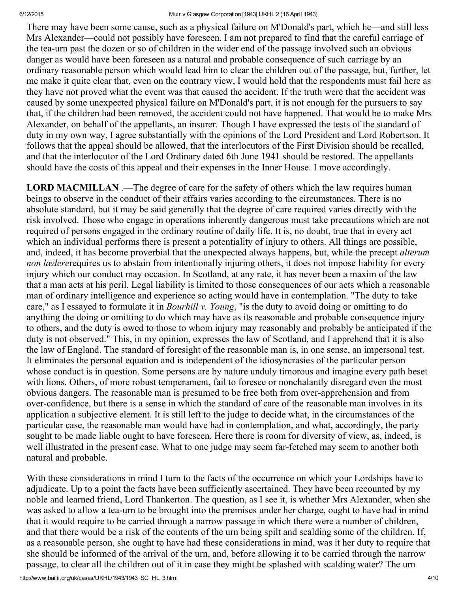There may have been some cause, such as a physical failure on M'Donald's part, which he—and still less Mrs Alexander—could not possibly have foreseen. I am not prepared to find that the careful carriage of the tea-urn past the dozen or so of children in the wider end of the passage involved such an obvious danger as would have been foreseen as a natural and probable consequence of such carriage by an ordinary reasonable person which would lead him to clear the children out of the passage, but, further, let me make it quite clear that, even on the contrary view, I would hold that the respondents must fail here as they have not proved what the event was that caused the accident. If the truth were that the accident was caused by some unexpected physical failure on M'Donald's part, it is not enough for the pursuers to say that, if the children had been removed, the accident could not have happened. That would be to make Mrs Alexander, on behalf of the appellants, an insurer. Though I have expressed the tests of the standard of duty in my own way, I agree substantially with the opinions of the Lord President and Lord Robertson. It follows that the appeal should be allowed, that the interlocutors of the First Division should be recalled, and that the interlocutor of the Lord Ordinary dated 6th June 1941 should be restored. The appellants should have the costs of this appeal and their expenses in the Inner House. I move accordingly.

LORD MACMILLAN .—The degree of care for the safety of others which the law requires human beings to observe in the conduct of their affairs varies according to the circumstances. There is no absolute standard, but it may be said generally that the degree of care required varies directly with the risk involved. Those who engage in operations inherently dangerous must take precautions which are not required of persons engaged in the ordinary routine of daily life. It is, no doubt, true that in every act which an individual performs there is present a potentiality of injury to others. All things are possible, and, indeed, it has become proverbial that the unexpected always happens, but, while the precept alterum non lædererequires us to abstain from intentionally injuring others, it does not impose liability for every injury which our conduct may occasion. In Scotland, at any rate, it has never been a maxim of the law that a man acts at his peril. Legal liability is limited to those consequences of our acts which a reasonable man of ordinary intelligence and experience so acting would have in contemplation. "The duty to take care," as I essayed to formulate it in Bourhill v. Young, "is the duty to avoid doing or omitting to do anything the doing or omitting to do which may have as its reasonable and probable consequence injury to others, and the duty is owed to those to whom injury may reasonably and probably be anticipated if the duty is not observed." This, in my opinion, expresses the law of Scotland, and I apprehend that it is also the law of England. The standard of foresight of the reasonable man is, in one sense, an impersonal test. It eliminates the personal equation and is independent of the idiosyncrasies of the particular person whose conduct is in question. Some persons are by nature unduly timorous and imagine every path beset with lions. Others, of more robust temperament, fail to foresee or nonchalantly disregard even the most obvious dangers. The reasonable man is presumed to be free both from overapprehension and from over-confidence, but there is a sense in which the standard of care of the reasonable man involves in its application a subjective element. It is still left to the judge to decide what, in the circumstances of the particular case, the reasonable man would have had in contemplation, and what, accordingly, the party sought to be made liable ought to have foreseen. Here there is room for diversity of view, as, indeed, is well illustrated in the present case. What to one judge may seem far-fetched may seem to another both natural and probable.

With these considerations in mind I turn to the facts of the occurrence on which your Lordships have to adjudicate. Up to a point the facts have been sufficiently ascertained. They have been recounted by my noble and learned friend, Lord Thankerton. The question, as I see it, is whether Mrs Alexander, when she was asked to allow a tea-urn to be brought into the premises under her charge, ought to have had in mind that it would require to be carried through a narrow passage in which there were a number of children, and that there would be a risk of the contents of the urn being spilt and scalding some of the children. If, as a reasonable person, she ought to have had these considerations in mind, was it her duty to require that she should be informed of the arrival of the urn, and, before allowing it to be carried through the narrow passage, to clear all the children out of it in case they might be splashed with scalding water? The urn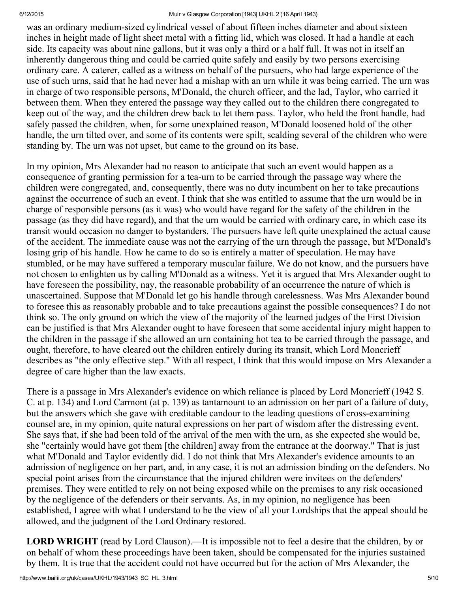6/12/2015 Muir v Glasgow Corporation [1943] UKHL 2 (16 April 1943)

was an ordinary medium-sized cylindrical vessel of about fifteen inches diameter and about sixteen inches in height made of light sheet metal with a fitting lid, which was closed. It had a handle at each side. Its capacity was about nine gallons, but it was only a third or a half full. It was not in itself an inherently dangerous thing and could be carried quite safely and easily by two persons exercising ordinary care. A caterer, called as a witness on behalf of the pursuers, who had large experience of the use of such urns, said that he had never had a mishap with an urn while it was being carried. The urn was in charge of two responsible persons, M'Donald, the church officer, and the lad, Taylor, who carried it between them. When they entered the passage way they called out to the children there congregated to keep out of the way, and the children drew back to let them pass. Taylor, who held the front handle, had safely passed the children, when, for some unexplained reason, M'Donald loosened hold of the other handle, the urn tilted over, and some of its contents were spilt, scalding several of the children who were standing by. The urn was not upset, but came to the ground on its base.

In my opinion, Mrs Alexander had no reason to anticipate that such an event would happen as a consequence of granting permission for a tea-urn to be carried through the passage way where the children were congregated, and, consequently, there was no duty incumbent on her to take precautions against the occurrence of such an event. I think that she was entitled to assume that the urn would be in charge of responsible persons (as it was) who would have regard for the safety of the children in the passage (as they did have regard), and that the urn would be carried with ordinary care, in which case its transit would occasion no danger to bystanders. The pursuers have left quite unexplained the actual cause of the accident. The immediate cause was not the carrying of the urn through the passage, but M'Donald's losing grip of his handle. How he came to do so is entirely a matter of speculation. He may have stumbled, or he may have suffered a temporary muscular failure. We do not know, and the pursuers have not chosen to enlighten us by calling M'Donald as a witness. Yet it is argued that Mrs Alexander ought to have foreseen the possibility, nay, the reasonable probability of an occurrence the nature of which is unascertained. Suppose that M'Donald let go his handle through carelessness. Was Mrs Alexander bound to foresee this as reasonably probable and to take precautions against the possible consequences? I do not think so. The only ground on which the view of the majority of the learned judges of the First Division can be justified is that Mrs Alexander ought to have foreseen that some accidental injury might happen to the children in the passage if she allowed an urn containing hot tea to be carried through the passage, and ought, therefore, to have cleared out the children entirely during its transit, which Lord Moncrieff describes as "the only effective step." With all respect, I think that this would impose on Mrs Alexander a degree of care higher than the law exacts.

There is a passage in Mrs Alexander's evidence on which reliance is placed by Lord Moncrieff (1942 S. C. at p. 134) and Lord Carmont (at p. 139) as tantamount to an admission on her part of a failure of duty, but the answers which she gave with creditable candour to the leading questions of cross-examining counsel are, in my opinion, quite natural expressions on her part of wisdom after the distressing event. She says that, if she had been told of the arrival of the men with the urn, as she expected she would be, she "certainly would have got them [the children] away from the entrance at the doorway." That is just what M'Donald and Taylor evidently did. I do not think that Mrs Alexander's evidence amounts to an admission of negligence on her part, and, in any case, it is not an admission binding on the defenders. No special point arises from the circumstance that the injured children were invitees on the defenders' premises. They were entitled to rely on not being exposed while on the premises to any risk occasioned by the negligence of the defenders or their servants. As, in my opinion, no negligence has been established, I agree with what I understand to be the view of all your Lordships that the appeal should be allowed, and the judgment of the Lord Ordinary restored.

LORD WRIGHT (read by Lord Clauson).—It is impossible not to feel a desire that the children, by or on behalf of whom these proceedings have been taken, should be compensated for the injuries sustained by them. It is true that the accident could not have occurred but for the action of Mrs Alexander, the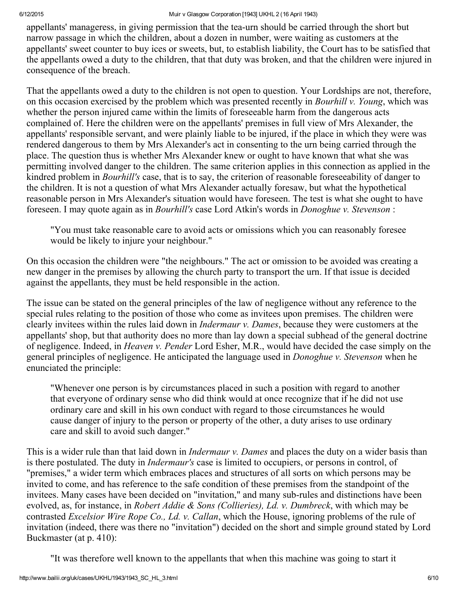appellants' manageress, in giving permission that the tea-urn should be carried through the short but narrow passage in which the children, about a dozen in number, were waiting as customers at the appellants' sweet counter to buy ices or sweets, but, to establish liability, the Court has to be satisfied that the appellants owed a duty to the children, that that duty was broken, and that the children were injured in consequence of the breach.

That the appellants owed a duty to the children is not open to question. Your Lordships are not, therefore, on this occasion exercised by the problem which was presented recently in Bourhill v. Young, which was whether the person injured came within the limits of foreseeable harm from the dangerous acts complained of. Here the children were on the appellants' premises in full view of Mrs Alexander, the appellants' responsible servant, and were plainly liable to be injured, if the place in which they were was rendered dangerous to them by Mrs Alexander's act in consenting to the urn being carried through the place. The question thus is whether Mrs Alexander knew or ought to have known that what she was permitting involved danger to the children. The same criterion applies in this connection as applied in the kindred problem in Bourhill's case, that is to say, the criterion of reasonable foreseeability of danger to the children. It is not a question of what Mrs Alexander actually foresaw, but what the hypothetical reasonable person in Mrs Alexander's situation would have foreseen. The test is what she ought to have foreseen. I may quote again as in Bourhill's case Lord Atkin's words in Donoghue v. Stevenson :

"You must take reasonable care to avoid acts or omissions which you can reasonably foresee would be likely to injure your neighbour."

On this occasion the children were "the neighbours." The act or omission to be avoided was creating a new danger in the premises by allowing the church party to transport the urn. If that issue is decided against the appellants, they must be held responsible in the action.

The issue can be stated on the general principles of the law of negligence without any reference to the special rules relating to the position of those who come as invitees upon premises. The children were clearly invitees within the rules laid down in Indermaur v. Dames, because they were customers at the appellants' shop, but that authority does no more than lay down a special subhead of the general doctrine of negligence. Indeed, in Heaven v. Pender Lord Esher, M.R., would have decided the case simply on the general principles of negligence. He anticipated the language used in Donoghue v. Stevenson when he enunciated the principle:

"Whenever one person is by circumstances placed in such a position with regard to another that everyone of ordinary sense who did think would at once recognize that if he did not use ordinary care and skill in his own conduct with regard to those circumstances he would cause danger of injury to the person or property of the other, a duty arises to use ordinary care and skill to avoid such danger."

This is a wider rule than that laid down in *Indermaur v. Dames* and places the duty on a wider basis than is there postulated. The duty in Indermaur's case is limited to occupiers, or persons in control, of "premises," a wider term which embraces places and structures of all sorts on which persons may be invited to come, and has reference to the safe condition of these premises from the standpoint of the invitees. Many cases have been decided on "invitation," and many sub-rules and distinctions have been evolved, as, for instance, in Robert Addie & Sons (Collieries), Ld. v. Dumbreck, with which may be contrasted Excelsior Wire Rope Co., Ld. v. Callan, which the House, ignoring problems of the rule of invitation (indeed, there was there no "invitation") decided on the short and simple ground stated by Lord Buckmaster (at p. 410):

"It was therefore well known to the appellants that when this machine was going to start it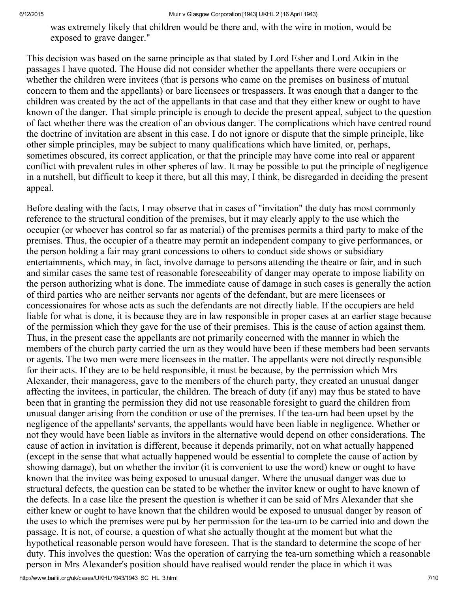## 6/12/2015 Muir v Glasgow Corporation [1943] UKHL 2 (16 April 1943)

was extremely likely that children would be there and, with the wire in motion, would be exposed to grave danger."

This decision was based on the same principle as that stated by Lord Esher and Lord Atkin in the passages I have quoted. The House did not consider whether the appellants there were occupiers or whether the children were invitees (that is persons who came on the premises on business of mutual concern to them and the appellants) or bare licensees or trespassers. It was enough that a danger to the children was created by the act of the appellants in that case and that they either knew or ought to have known of the danger. That simple principle is enough to decide the present appeal, subject to the question of fact whether there was the creation of an obvious danger. The complications which have centred round the doctrine of invitation are absent in this case. I do not ignore or dispute that the simple principle, like other simple principles, may be subject to many qualifications which have limited, or, perhaps, sometimes obscured, its correct application, or that the principle may have come into real or apparent conflict with prevalent rules in other spheres of law. It may be possible to put the principle of negligence in a nutshell, but difficult to keep it there, but all this may, I think, be disregarded in deciding the present appeal.

Before dealing with the facts, I may observe that in cases of "invitation" the duty has most commonly reference to the structural condition of the premises, but it may clearly apply to the use which the occupier (or whoever has control so far as material) of the premises permits a third party to make of the premises. Thus, the occupier of a theatre may permit an independent company to give performances, or the person holding a fair may grant concessions to others to conduct side shows or subsidiary entertainments, which may, in fact, involve damage to persons attending the theatre or fair, and in such and similar cases the same test of reasonable foreseeability of danger may operate to impose liability on the person authorizing what is done. The immediate cause of damage in such cases is generally the action of third parties who are neither servants nor agents of the defendant, but are mere licensees or concessionaires for whose acts as such the defendants are not directly liable. If the occupiers are held liable for what is done, it is because they are in law responsible in proper cases at an earlier stage because of the permission which they gave for the use of their premises. This is the cause of action against them. Thus, in the present case the appellants are not primarily concerned with the manner in which the members of the church party carried the urn as they would have been if these members had been servants or agents. The two men were mere licensees in the matter. The appellants were not directly responsible for their acts. If they are to be held responsible, it must be because, by the permission which Mrs Alexander, their manageress, gave to the members of the church party, they created an unusual danger affecting the invitees, in particular, the children. The breach of duty (if any) may thus be stated to have been that in granting the permission they did not use reasonable foresight to guard the children from unusual danger arising from the condition or use of the premises. If the tea-urn had been upset by the negligence of the appellants' servants, the appellants would have been liable in negligence. Whether or not they would have been liable as invitors in the alternative would depend on other considerations. The cause of action in invitation is different, because it depends primarily, not on what actually happened (except in the sense that what actually happened would be essential to complete the cause of action by showing damage), but on whether the invitor (it is convenient to use the word) knew or ought to have known that the invitee was being exposed to unusual danger. Where the unusual danger was due to structural defects, the question can be stated to be whether the invitor knew or ought to have known of the defects. In a case like the present the question is whether it can be said of Mrs Alexander that she either knew or ought to have known that the children would be exposed to unusual danger by reason of the uses to which the premises were put by her permission for the tea-urn to be carried into and down the passage. It is not, of course, a question of what she actually thought at the moment but what the hypothetical reasonable person would have foreseen. That is the standard to determine the scope of her duty. This involves the question: Was the operation of carrying the tea-urn something which a reasonable person in Mrs Alexander's position should have realised would render the place in which it was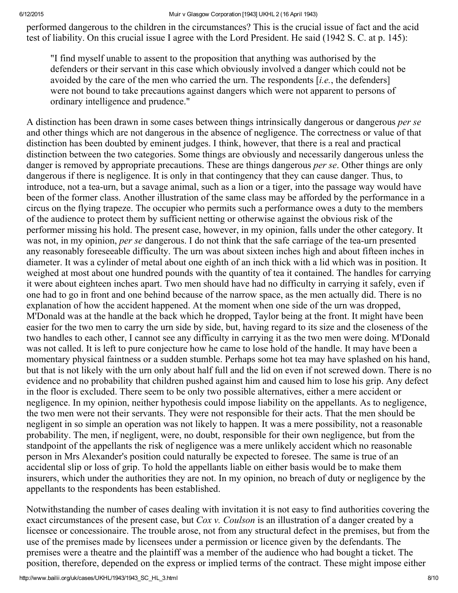performed dangerous to the children in the circumstances? This is the crucial issue of fact and the acid test of liability. On this crucial issue I agree with the Lord President. He said (1942 S. C. at p. 145):

"I find myself unable to assent to the proposition that anything was authorised by the defenders or their servant in this case which obviously involved a danger which could not be avoided by the care of the men who carried the urn. The respondents  $[i.e.,$  the defenders] were not bound to take precautions against dangers which were not apparent to persons of ordinary intelligence and prudence."

A distinction has been drawn in some cases between things intrinsically dangerous or dangerous per se and other things which are not dangerous in the absence of negligence. The correctness or value of that distinction has been doubted by eminent judges. I think, however, that there is a real and practical distinction between the two categories. Some things are obviously and necessarily dangerous unless the danger is removed by appropriate precautions. These are things dangerous *per se*. Other things are only dangerous if there is negligence. It is only in that contingency that they can cause danger. Thus, to introduce, not a tea-urn, but a savage animal, such as a lion or a tiger, into the passage way would have been of the former class. Another illustration of the same class may be afforded by the performance in a circus on the flying trapeze. The occupier who permits such a performance owes a duty to the members of the audience to protect them by sufficient netting or otherwise against the obvious risk of the performer missing his hold. The present case, however, in my opinion, falls under the other category. It was not, in my opinion, *per se* dangerous. I do not think that the safe carriage of the tea-urn presented any reasonably foreseeable difficulty. The urn was about sixteen inches high and about fifteen inches in diameter. It was a cylinder of metal about one eighth of an inch thick with a lid which was in position. It weighed at most about one hundred pounds with the quantity of tea it contained. The handles for carrying it were about eighteen inches apart. Two men should have had no difficulty in carrying it safely, even if one had to go in front and one behind because of the narrow space, as the men actually did. There is no explanation of how the accident happened. At the moment when one side of the urn was dropped, M'Donald was at the handle at the back which he dropped, Taylor being at the front. It might have been easier for the two men to carry the urn side by side, but, having regard to its size and the closeness of the two handles to each other, I cannot see any difficulty in carrying it as the two men were doing. M'Donald was not called. It is left to pure conjecture how he came to lose hold of the handle. It may have been a momentary physical faintness or a sudden stumble. Perhaps some hot tea may have splashed on his hand, but that is not likely with the urn only about half full and the lid on even if not screwed down. There is no evidence and no probability that children pushed against him and caused him to lose his grip. Any defect in the floor is excluded. There seem to be only two possible alternatives, either a mere accident or negligence. In my opinion, neither hypothesis could impose liability on the appellants. As to negligence, the two men were not their servants. They were not responsible for their acts. That the men should be negligent in so simple an operation was not likely to happen. It was a mere possibility, not a reasonable probability. The men, if negligent, were, no doubt, responsible for their own negligence, but from the standpoint of the appellants the risk of negligence was a mere unlikely accident which no reasonable person in Mrs Alexander's position could naturally be expected to foresee. The same is true of an accidental slip or loss of grip. To hold the appellants liable on either basis would be to make them insurers, which under the authorities they are not. In my opinion, no breach of duty or negligence by the appellants to the respondents has been established.

Notwithstanding the number of cases dealing with invitation it is not easy to find authorities covering the exact circumstances of the present case, but Cox v. Coulson is an illustration of a danger created by a licensee or concessionaire. The trouble arose, not from any structural defect in the premises, but from the use of the premises made by licensees under a permission or licence given by the defendants. The premises were a theatre and the plaintiff was a member of the audience who had bought a ticket. The position, therefore, depended on the express or implied terms of the contract. These might impose either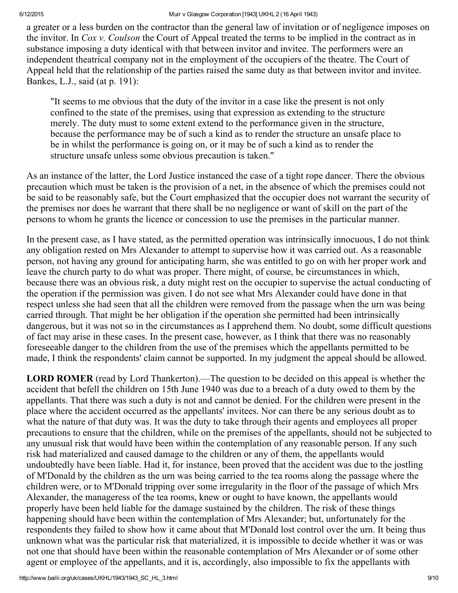a greater or a less burden on the contractor than the general law of invitation or of negligence imposes on the invitor. In Cox v. Coulson the Court of Appeal treated the terms to be implied in the contract as in substance imposing a duty identical with that between invitor and invitee. The performers were an independent theatrical company not in the employment of the occupiers of the theatre. The Court of Appeal held that the relationship of the parties raised the same duty as that between invitor and invitee. Bankes, L.J., said (at p. 191):

"It seems to me obvious that the duty of the invitor in a case like the present is not only confined to the state of the premises, using that expression as extending to the structure merely. The duty must to some extent extend to the performance given in the structure, because the performance may be of such a kind as to render the structure an unsafe place to be in whilst the performance is going on, or it may be of such a kind as to render the structure unsafe unless some obvious precaution is taken."

As an instance of the latter, the Lord Justice instanced the case of a tight rope dancer. There the obvious precaution which must be taken is the provision of a net, in the absence of which the premises could not be said to be reasonably safe, but the Court emphasized that the occupier does not warrant the security of the premises nor does he warrant that there shall be no negligence or want of skill on the part of the persons to whom he grants the licence or concession to use the premises in the particular manner.

In the present case, as I have stated, as the permitted operation was intrinsically innocuous, I do not think any obligation rested on Mrs Alexander to attempt to supervise how it was carried out. As a reasonable person, not having any ground for anticipating harm, she was entitled to go on with her proper work and leave the church party to do what was proper. There might, of course, be circumstances in which, because there was an obvious risk, a duty might rest on the occupier to supervise the actual conducting of the operation if the permission was given. I do not see what Mrs Alexander could have done in that respect unless she had seen that all the children were removed from the passage when the urn was being carried through. That might be her obligation if the operation she permitted had been intrinsically dangerous, but it was not so in the circumstances as I apprehend them. No doubt, some difficult questions of fact may arise in these cases. In the present case, however, as I think that there was no reasonably foreseeable danger to the children from the use of the premises which the appellants permitted to be made, I think the respondents' claim cannot be supported. In my judgment the appeal should be allowed.

LORD ROMER (read by Lord Thankerton).—The question to be decided on this appeal is whether the accident that befell the children on 15th June 1940 was due to a breach of a duty owed to them by the appellants. That there was such a duty is not and cannot be denied. For the children were present in the place where the accident occurred as the appellants' invitees. Nor can there be any serious doubt as to what the nature of that duty was. It was the duty to take through their agents and employees all proper precautions to ensure that the children, while on the premises of the appellants, should not be subjected to any unusual risk that would have been within the contemplation of any reasonable person. If any such risk had materialized and caused damage to the children or any of them, the appellants would undoubtedly have been liable. Had it, for instance, been proved that the accident was due to the jostling of M'Donald by the children as the urn was being carried to the tea rooms along the passage where the children were, or to M'Donald tripping over some irregularity in the floor of the passage of which Mrs Alexander, the manageress of the tea rooms, knew or ought to have known, the appellants would properly have been held liable for the damage sustained by the children. The risk of these things happening should have been within the contemplation of Mrs Alexander; but, unfortunately for the respondents they failed to show how it came about that M'Donald lost control over the urn. It being thus unknown what was the particular risk that materialized, it is impossible to decide whether it was or was not one that should have been within the reasonable contemplation of Mrs Alexander or of some other agent or employee of the appellants, and it is, accordingly, also impossible to fix the appellants with